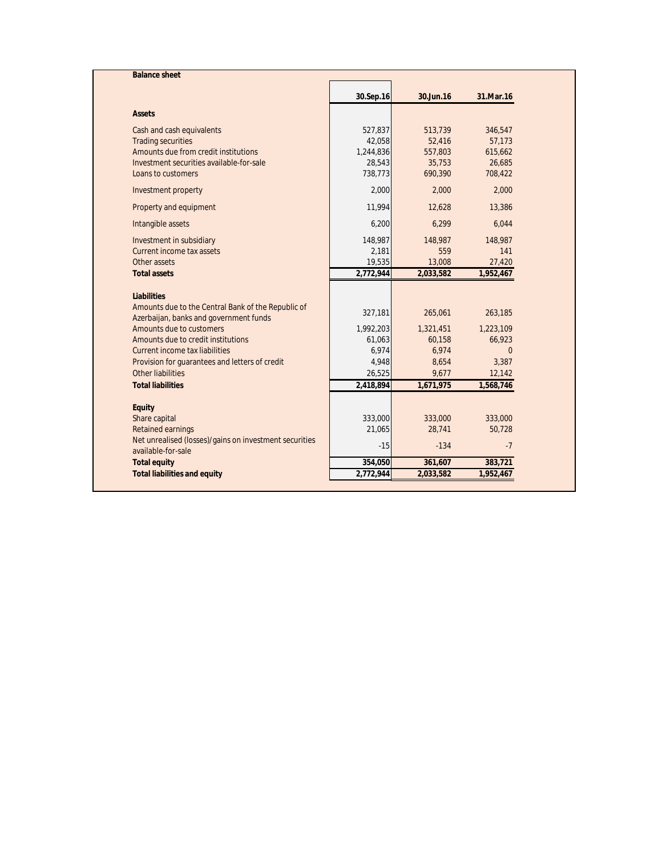| <b>Balance sheet</b>                                   |           |           |           |
|--------------------------------------------------------|-----------|-----------|-----------|
|                                                        | 30.Sep.16 | 30.Jun.16 | 31.Mar.16 |
| <b>Assets</b>                                          |           |           |           |
| Cash and cash equivalents                              | 527,837   | 513,739   | 346,547   |
| <b>Trading securities</b>                              | 42,058    | 52,416    | 57,173    |
| Amounts due from credit institutions                   | 1,244,836 | 557,803   | 615,662   |
| Investment securities available-for-sale               | 28,543    | 35,753    | 26,685    |
| Loans to customers                                     | 738,773   | 690,390   | 708,422   |
| Investment property                                    | 2,000     | 2.000     | 2,000     |
| Property and equipment                                 | 11,994    | 12,628    | 13,386    |
| Intangible assets                                      | 6,200     | 6,299     | 6,044     |
| Investment in subsidiary                               | 148,987   | 148,987   | 148,987   |
| Current income tax assets                              | 2,181     | 559       | 141       |
| Other assets                                           | 19,535    | 13,008    | 27,420    |
| <b>Total assets</b>                                    | 2,772,944 | 2,033,582 | 1,952,467 |
| <b>Liabilities</b>                                     |           |           |           |
| Amounts due to the Central Bank of the Republic of     |           |           |           |
| Azerbaijan, banks and government funds                 | 327,181   | 265,061   | 263,185   |
| Amounts due to customers                               | 1,992,203 | 1,321,451 | 1,223,109 |
| Amounts due to credit institutions                     | 61,063    | 60,158    | 66,923    |
| Current income tax liabilities                         | 6,974     | 6,974     | $\Omega$  |
| Provision for quarantees and letters of credit         | 4,948     | 8,654     | 3,387     |
| Other liabilities                                      | 26,525    | 9,677     | 12,142    |
| <b>Total liabilities</b>                               | 2,418,894 | 1,671,975 | 1,568,746 |
| <b>Equity</b>                                          |           |           |           |
| Share capital                                          | 333,000   | 333,000   | 333,000   |
| <b>Retained earnings</b>                               | 21,065    | 28.741    | 50.728    |
| Net unrealised (losses)/gains on investment securities |           |           |           |
| available-for-sale                                     | $-15$     | $-134$    | $-7$      |
| <b>Total equity</b>                                    | 354,050   | 361,607   | 383,721   |
| <b>Total liabilities and equity</b>                    | 2,772,944 | 2,033,582 | 1,952,467 |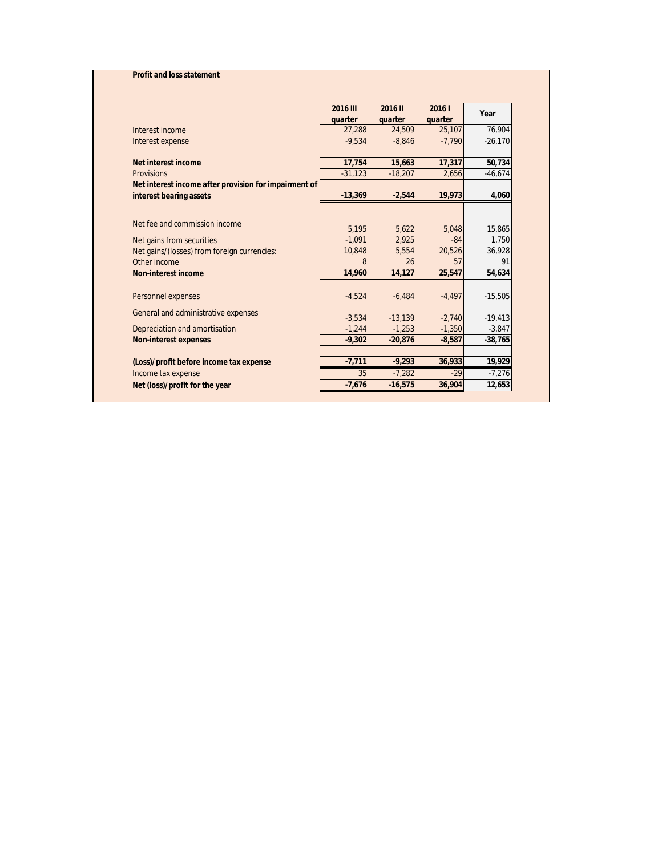## **Profit and loss statement**

|                                                       | <b>2016 III</b><br>quarter | 2016 II<br>quarter | 2016 l<br>quarter | Year      |
|-------------------------------------------------------|----------------------------|--------------------|-------------------|-----------|
| Interest income                                       | 27,288                     | 24,509             | 25,107            | 76,904    |
| Interest expense                                      | $-9.534$                   | $-8.846$           | $-7.790$          | $-26,170$ |
| Net interest income                                   | 17.754                     | 15,663             | 17,317            | 50,734    |
| <b>Provisions</b>                                     | $-31.123$                  | $-18,207$          | 2,656             | $-46,674$ |
| Net interest income after provision for impairment of |                            |                    |                   |           |
| interest bearing assets                               | $-13,369$                  | $-2.544$           | 19,973            | 4,060     |
|                                                       |                            |                    |                   |           |
| Net fee and commission income                         | 5.195                      | 5.622              | 5.048             | 15.865    |
| Net gains from securities                             | $-1.091$                   | 2.925              | $-84$             | 1.750     |
| Net gains/(losses) from foreign currencies:           | 10,848                     | 5.554              | 20,526            | 36.928    |
| Other income                                          | 8                          | 26                 | 57                | 91        |
| <b>Non-interest income</b>                            | 14,960                     | 14,127             | 25,547            | 54,634    |
| Personnel expenses                                    | $-4.524$                   | $-6.484$           | $-4,497$          | $-15,505$ |
| General and administrative expenses                   | $-3.534$                   | $-13.139$          | $-2.740$          | $-19,413$ |
| Depreciation and amortisation                         | $-1,244$                   | $-1.253$           | $-1,350$          | $-3,847$  |
| <b>Non-interest expenses</b>                          | $-9.302$                   | $-20.876$          | $-8,587$          | $-38,765$ |
|                                                       |                            |                    |                   |           |
| (Loss)/profit before income tax expense               | $-7,711$                   | $-9.293$           | 36,933            | 19,929    |
| Income tax expense                                    | 35                         | $-7,282$           | $-29$             | $-7,276$  |
| Net (loss)/profit for the year                        | $-7,676$                   | $-16.575$          | 36,904            | 12,653    |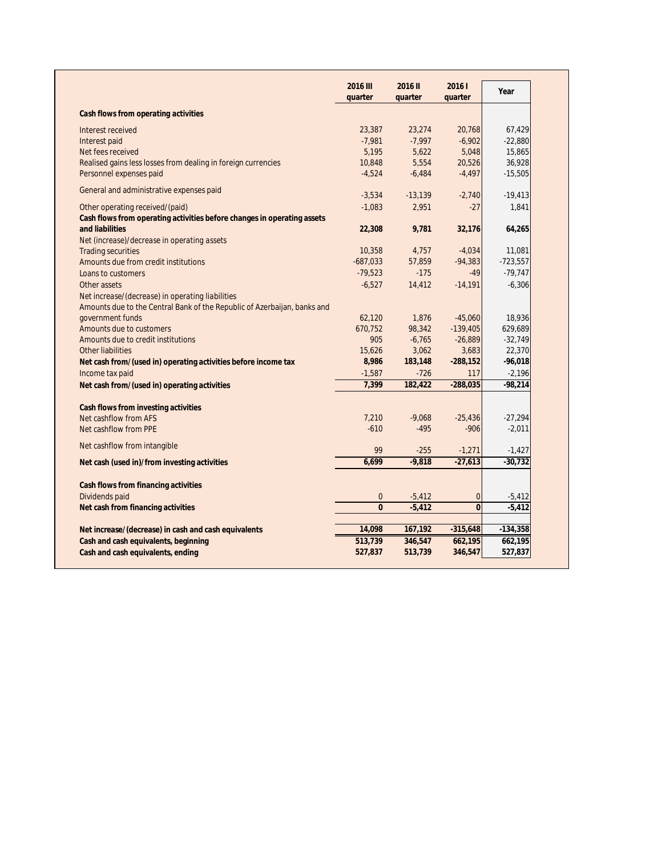|                                                                          | <b>2016 III</b><br>quarter | 2016 II<br>quarter | 20161<br>quarter | Year       |
|--------------------------------------------------------------------------|----------------------------|--------------------|------------------|------------|
|                                                                          |                            |                    |                  |            |
| Cash flows from operating activities                                     |                            |                    |                  |            |
| Interest received                                                        | 23,387                     | 23,274             | 20,768           | 67,429     |
| Interest paid                                                            | $-7,981$                   | $-7,997$           | $-6,902$         | $-22,880$  |
| Net fees received                                                        | 5,195                      | 5,622              | 5,048            | 15,865     |
| Realised gains less losses from dealing in foreign currencies            | 10,848                     | 5,554              | 20,526           | 36,928     |
| Personnel expenses paid                                                  | $-4,524$                   | $-6,484$           | $-4,497$         | $-15,505$  |
| General and administrative expenses paid                                 | $-3,534$                   | $-13,139$          | $-2,740$         | $-19,413$  |
| Other operating received/(paid)                                          | $-1,083$                   | 2,951              | $-27$            | 1,841      |
| Cash flows from operating activities before changes in operating assets  |                            |                    |                  |            |
| and liabilities                                                          | 22,308                     | 9,781              | 32,176           | 64,265     |
| Net (increase)/decrease in operating assets                              |                            |                    |                  |            |
| <b>Trading securities</b>                                                | 10,358                     | 4,757              | $-4,034$         | 11,081     |
| Amounts due from credit institutions                                     | $-687,033$                 | 57,859             | $-94,383$        | $-723,557$ |
| Loans to customers                                                       | $-79,523$                  | $-175$             | $-49$            | $-79,747$  |
| Other assets                                                             | $-6,527$                   | 14,412             | $-14,191$        | $-6,306$   |
| Net increase/(decrease) in operating liabilities                         |                            |                    |                  |            |
| Amounts due to the Central Bank of the Republic of Azerbaijan, banks and |                            |                    |                  |            |
| government funds                                                         | 62,120                     | 1,876              | $-45,060$        | 18,936     |
| Amounts due to customers                                                 | 670,752                    | 98,342             | $-139,405$       | 629,689    |
| Amounts due to credit institutions                                       | 905                        | $-6,765$           | $-26,889$        | $-32,749$  |
| <b>Other liabilities</b>                                                 | 15,626                     | 3,062              | 3,683            | 22,370     |
| Net cash from/(used in) operating activities before income tax           | 8,986                      | 183,148            | $-288,152$       | $-96,018$  |
| Income tax paid                                                          | $-1,587$                   | $-726$             | 117              | $-2,196$   |
| Net cash from/(used in) operating activities                             | 7,399                      | 182,422            | $-288,035$       | $-98,214$  |
|                                                                          |                            |                    |                  |            |
| <b>Cash flows from investing activities</b>                              |                            |                    |                  |            |
| Net cashflow from AFS                                                    | 7,210                      | $-9,068$           | $-25,436$        | $-27,294$  |
| Net cashflow from PPE                                                    | $-610$                     | $-495$             | $-906$           | $-2,011$   |
| Net cashflow from intangible                                             | 99                         | $-255$             | $-1,271$         | $-1,427$   |
| Net cash (used in)/from investing activities                             | 6,699                      | $-9,818$           | $-27,613$        | $-30,732$  |
|                                                                          |                            |                    |                  |            |
| <b>Cash flows from financing activities</b><br>Dividends paid            | $\mathbf{0}$               | $-5,412$           | $\mathbf{0}$     | $-5,412$   |
| Net cash from financing activities                                       | $\mathbf{0}$               | $-5,412$           | $\mathbf{0}$     | $-5,412$   |
|                                                                          |                            |                    |                  |            |
| Net increase/(decrease) in cash and cash equivalents                     | 14,098                     | 167,192            | $-315,648$       | $-134,358$ |
| Cash and cash equivalents, beginning                                     | 513,739                    | 346,547            | 662,195          | 662,195    |
| Cash and cash equivalents, ending                                        | 527,837                    | 513,739            | 346,547          | 527,837    |